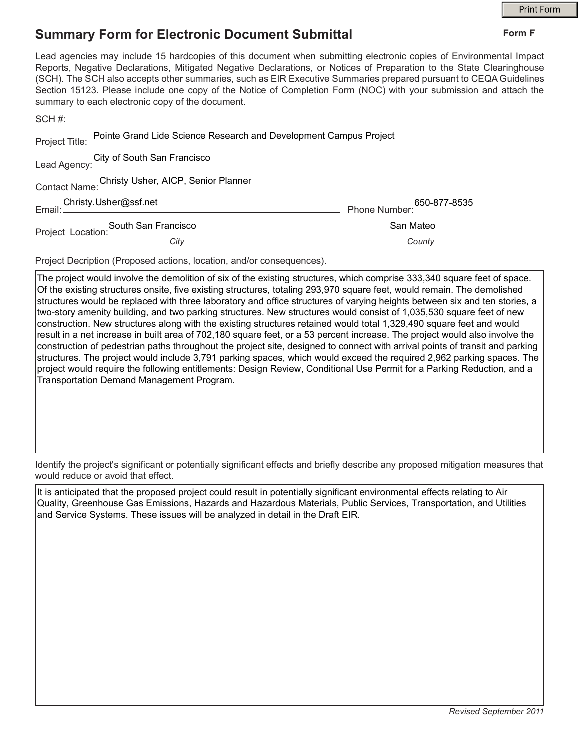Form F

## **Summary Form for Electronic Document Submittal**

## Lead agencies may include 15 hardcopies of this document when submitting electronic copies of Environmental Impact Reports, Negative Declarations, Mitigated Negative Declarations, or Notices of Preparation to the State Clearinghouse (SCH). The SCH also accepts other summaries, such as EIR Executive Summaries prepared pursuant to CEQA Guidelines Section 15123. Please include one copy of the Notice of Completion Form (NOC) with your submission and attach the summary to each electronic copy of the document. SCH#:  $\_$

| Project Title:                                    | Pointe Grand Lide Science Research and Development Campus Project                     |                                                   |  |
|---------------------------------------------------|---------------------------------------------------------------------------------------|---------------------------------------------------|--|
|                                                   | Lead Agency: City of South San Francisco<br>Lead Agency: <u>Contract Construction</u> |                                                   |  |
| Contact Name: Christy Usher, AICP, Senior Planner |                                                                                       |                                                   |  |
|                                                   |                                                                                       | 650-877-8535<br>____________________Phone Number: |  |
|                                                   | South San Francisco<br>Project Location: <u>Canada Bander</u>                         | San Mateo                                         |  |
|                                                   | City                                                                                  | County                                            |  |

Project Decription (Proposed actions, location, and/or consequences).

The project would involve the demolition of six of the existing structures, which comprise 333,340 square feet of space. Of the existing structures onsite, five existing structures, totaling 293,970 square feet, would remain. The demolished structures would be replaced with three laboratory and office structures of varying heights between six and ten stories, a two-story amenity building, and two parking structures. New structures would consist of 1,035,530 square feet of new construction. New structures along with the existing structures retained would total 1,329,490 square feet and would result in a net increase in built area of 702,180 square feet, or a 53 percent increase. The project would also involve the construction of pedestrian paths throughout the project site, designed to connect with arrival points of transit and parking structures. The project would include 3,791 parking spaces, which would exceed the required 2,962 parking spaces. The project would require the following entitlements: Design Review, Conditional Use Permit for a Parking Reduction, and a Transportation Demand Management Program.

Identify the project's significant or potentially significant effects and briefly describe any proposed mitigation measures that would reduce or avoid that effect.

It is anticipated that the proposed project could result in potentially significant environmental effects relating to Air Quality, Greenhouse Gas Emissions, Hazards and Hazardous Materials, Public Services, Transportation, and Utilities and Service Systems. These issues will be analyzed in detail in the Draft EIR.